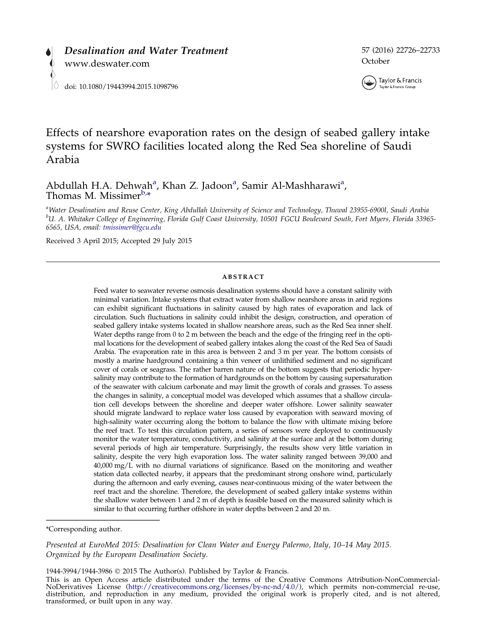



Effects of nearshore evaporation rates on the design of seabed gallery intake systems for SWRO facilities located along the Red Sea shoreline of Saudi Arabia

# Abdullah H.A. Dehwah<sup>a</sup>, Khan Z. Jadoon<sup>a</sup>, Samir Al-Mashharawi<sup>a</sup>, Thomas M. Missimer<sup>b,\*</sup>

a<br>Water Desalination and Reuse Center, King Abdullah University of Science and Technology, Thuwal 23955-6900l, Saudi Arabia <sup>b</sup>U. A. Whitaker College of Engineering, Florida Gulf Coast University, 10501 FGCU Boulevard South, Fort Myers, Florida 33965-6565, USA, email: [tmissimer@fgcu.edu](mailto:tmissimer@fgcu.edu)

Received 3 April 2015; Accepted 29 July 2015

## ABSTRACT

Feed water to seawater reverse osmosis desalination systems should have a constant salinity with minimal variation. Intake systems that extract water from shallow nearshore areas in arid regions can exhibit significant fluctuations in salinity caused by high rates of evaporation and lack of circulation. Such fluctuations in salinity could inhibit the design, construction, and operation of seabed gallery intake systems located in shallow nearshore areas, such as the Red Sea inner shelf. Water depths range from 0 to 2 m between the beach and the edge of the fringing reef in the optimal locations for the development of seabed gallery intakes along the coast of the Red Sea of Saudi Arabia. The evaporation rate in this area is between 2 and 3 m per year. The bottom consists of mostly a marine hardground containing a thin veneer of unlithified sediment and no significant cover of corals or seagrass. The rather barren nature of the bottom suggests that periodic hypersalinity may contribute to the formation of hardgrounds on the bottom by causing supersaturation of the seawater with calcium carbonate and may limit the growth of corals and grasses. To assess the changes in salinity, a conceptual model was developed which assumes that a shallow circulation cell develops between the shoreline and deeper water offshore. Lower salinity seawater should migrate landward to replace water loss caused by evaporation with seaward moving of high-salinity water occurring along the bottom to balance the flow with ultimate mixing before the reef tract. To test this circulation pattern, a series of sensors were deployed to continuously monitor the water temperature, conductivity, and salinity at the surface and at the bottom during several periods of high air temperature. Surprisingly, the results show very little variation in salinity, despite the very high evaporation loss. The water salinity ranged between 39,000 and 40,000 mg/L with no diurnal variations of significance. Based on the monitoring and weather station data collected nearby, it appears that the predominant strong onshore wind, particularly during the afternoon and early evening, causes near-continuous mixing of the water between the reef tract and the shoreline. Therefore, the development of seabed gallery intake systems within the shallow water between 1 and 2 m of depth is feasible based on the measured salinity which is similar to that occurring further offshore in water depths between 2 and 20 m.

Presented at EuroMed 2015: Desalination for Clean Water and Energy Palermo, Italy, 10–14 May 2015. Organized by the European Desalination Society.

1944-3994/1944-3986 2015 The Author(s). Published by Taylor & Francis.

This is an Open Access article distributed under the terms of the Creative Commons Attribution-NonCommercial-<br>NoDerivatives License (http://creativecommons.org/licenses/by-nc-nd/4.0/), which permits non-commercial re-use, NoDerivatives License (<http://creativecommons.org/licenses/by-nc-nd/4.0/>), which permits non-commercial re-use, distribution, and reproduction in any medium, provided the original work is properly cited, and is not altered, transformed, or built upon in any way.

<sup>\*</sup>Corresponding author.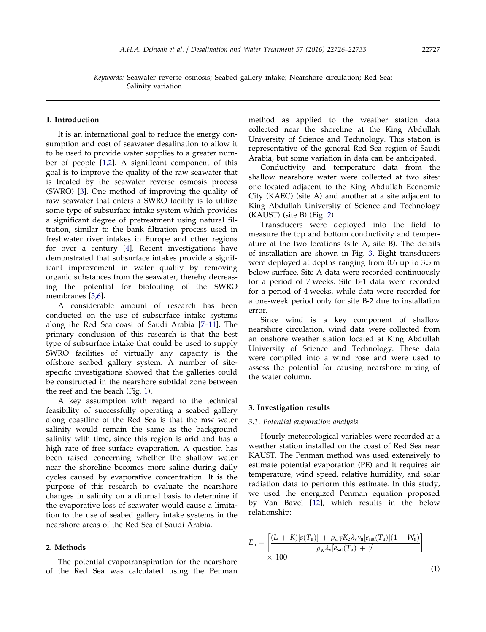Keywords: Seawater reverse osmosis; Seabed gallery intake; Nearshore circulation; Red Sea; Salinity variation

## 1. Introduction

It is an international goal to reduce the energy consumption and cost of seawater desalination to allow it to be used to provide water supplies to a greater number of people [\[1,2\]](#page-6-0). A significant component of this goal is to improve the quality of the raw seawater that is treated by the seawater reverse osmosis process (SWRO) [\[3](#page-6-0)]. One method of improving the quality of raw seawater that enters a SWRO facility is to utilize some type of subsurface intake system which provides a significant degree of pretreatment using natural filtration, similar to the bank filtration process used in freshwater river intakes in Europe and other regions for over a century [[4](#page-6-0)]. Recent investigations have demonstrated that subsurface intakes provide a significant improvement in water quality by removing organic substances from the seawater, thereby decreasing the potential for biofouling of the SWRO membranes [\[5,6](#page-6-0)].

A considerable amount of research has been conducted on the use of subsurface intake systems along the Red Sea coast of Saudi Arabia [[7–11](#page-6-0)]. The primary conclusion of this research is that the best type of subsurface intake that could be used to supply SWRO facilities of virtually any capacity is the offshore seabed gallery system. A number of sitespecific investigations showed that the galleries could be constructed in the nearshore subtidal zone between the reef and the beach (Fig. [1](#page-2-0)).

A key assumption with regard to the technical feasibility of successfully operating a seabed gallery along coastline of the Red Sea is that the raw water salinity would remain the same as the background salinity with time, since this region is arid and has a high rate of free surface evaporation. A question has been raised concerning whether the shallow water near the shoreline becomes more saline during daily cycles caused by evaporative concentration. It is the purpose of this research to evaluate the nearshore changes in salinity on a diurnal basis to determine if the evaporative loss of seawater would cause a limitation to the use of seabed gallery intake systems in the nearshore areas of the Red Sea of Saudi Arabia.

#### 2. Methods

The potential evapotranspiration for the nearshore of the Red Sea was calculated using the Penman method as applied to the weather station data collected near the shoreline at the King Abdullah University of Science and Technology. This station is representative of the general Red Sea region of Saudi Arabia, but some variation in data can be anticipated.

Conductivity and temperature data from the shallow nearshore water were collected at two sites: one located adjacent to the King Abdullah Economic City (KAEC) (site A) and another at a site adjacent to King Abdullah University of Science and Technology (KAUST) (site B) (Fig. [2](#page-3-0)).

Transducers were deployed into the field to measure the top and bottom conductivity and temperature at the two locations (site A, site B). The details of installation are shown in Fig. [3](#page-3-0). Eight transducers were deployed at depths ranging from 0.6 up to 3.5 m below surface. Site A data were recorded continuously for a period of 7 weeks. Site B-1 data were recorded for a period of 4 weeks, while data were recorded for a one-week period only for site B-2 due to installation error.

Since wind is a key component of shallow nearshore circulation, wind data were collected from an onshore weather station located at King Abdullah University of Science and Technology. These data were compiled into a wind rose and were used to assess the potential for causing nearshore mixing of the water column.

### 3. Investigation results

#### 3.1. Potential evaporation analysis

Hourly meteorological variables were recorded at a weather station installed on the coast of Red Sea near KAUST. The Penman method was used extensively to estimate potential evaporation (PE) and it requires air temperature, wind speed, relative humidity, and solar radiation data to perform this estimate. In this study, we used the energized Penman equation proposed by Van Bavel [[12\]](#page-7-0), which results in the below relationship:

$$
E_{\rm p} = \frac{\left[ (L + K)[s(T_{\rm a})] + \rho_{\rm w} \gamma K_{\rm e} \lambda_{\rm v} v_{\rm a} [e_{\rm sat}(T_{\rm a})](1 - W_{\rm a}) \right]}{\rho_{\rm w} \lambda_{\rm v} [e_{\rm sat}(T_{\rm a}) + \gamma]}
$$

(1)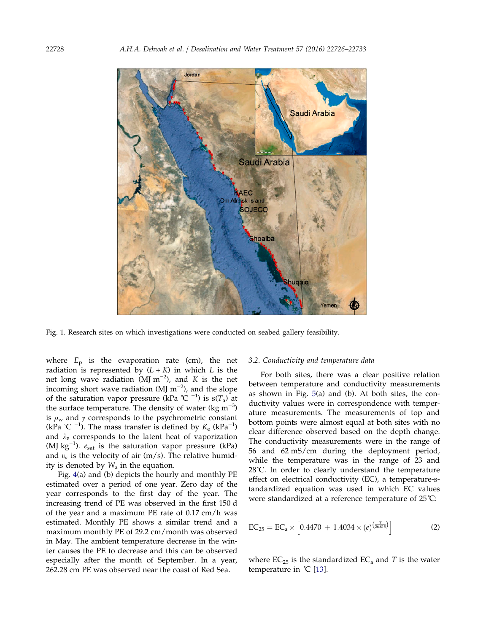<span id="page-2-0"></span>

Fig. 1. Research sites on which investigations were conducted on seabed gallery feasibility.

where  $E_p$  is the evaporation rate (cm), the net radiation is represented by  $(L + K)$  in which L is the net long wave radiation (MJ m<sup>-2</sup>), and K is the net incoming short wave radiation (MJ  $m^{-2}$ ), and the slope of the saturation vapor pressure (kPa  $\degree$ C <sup>-1</sup>) is s(T<sub>a</sub>) at the surface temperature. The density of water (kg  $m^{-3}$ ) is  $\rho_w$  and  $\gamma$  corresponds to the psychrometric constant (kPa  $\degree$ C <sup>-1</sup>). The mass transfer is defined by  $K_e$  (kPa<sup>-1</sup>) and  $\lambda_v$  corresponds to the latent heat of vaporization (MJ kg<sup>-1</sup>).  $e_{\text{sat}}$  is the saturation vapor pressure (kPa) and  $v_a$  is the velocity of air (m/s). The relative humidity is denoted by  $W_a$  in the equation.

Fig. [4](#page-4-0)(a) and (b) depicts the hourly and monthly PE estimated over a period of one year. Zero day of the year corresponds to the first day of the year. The increasing trend of PE was observed in the first 150 d of the year and a maximum PE rate of 0.17 cm/h was estimated. Monthly PE shows a similar trend and a maximum monthly PE of 29.2 cm/month was observed in May. The ambient temperature decrease in the winter causes the PE to decrease and this can be observed especially after the month of September. In a year, 262.28 cm PE was observed near the coast of Red Sea.

#### 3.2. Conductivity and temperature data

For both sites, there was a clear positive relation between temperature and conductivity measurements as shown in Fig. [5](#page-4-0)(a) and (b). At both sites, the conductivity values were in correspondence with temperature measurements. The measurements of top and bottom points were almost equal at both sites with no clear difference observed based on the depth change. The conductivity measurements were in the range of 56 and 62 mS/cm during the deployment period, while the temperature was in the range of 23 and 28℃. In order to clearly understand the temperature effect on electrical conductivity (EC), a temperature-standardized equation was used in which EC values were standardized at a reference temperature of 25˚C:

$$
EC_{25} = EC_{a} \times \left[0.4470 + 1.4034 \times (e)^{\left(\frac{7}{26.815}\right)}\right]
$$
 (2)

where  $EC_{25}$  is the standardized  $EC_a$  and T is the water temperature in  $°C$  [\[13\]](#page-7-0).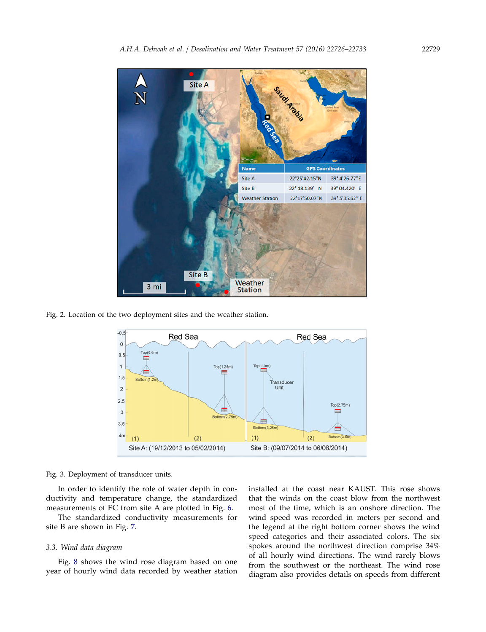<span id="page-3-0"></span>

Fig. 2. Location of the two deployment sites and the weather station.



Fig. 3. Deployment of transducer units.

In order to identify the role of water depth in conductivity and temperature change, the standardized measurements of EC from site A are plotted in Fig. [6](#page-4-0).

The standardized conductivity measurements for site B are shown in Fig. [7](#page-4-0).

## 3.3. Wind data diagram

Fig. [8](#page-5-0) shows the wind rose diagram based on one year of hourly wind data recorded by weather station installed at the coast near KAUST. This rose shows that the winds on the coast blow from the northwest most of the time, which is an onshore direction. The wind speed was recorded in meters per second and the legend at the right bottom corner shows the wind speed categories and their associated colors. The six spokes around the northwest direction comprise 34% of all hourly wind directions. The wind rarely blows from the southwest or the northeast. The wind rose diagram also provides details on speeds from different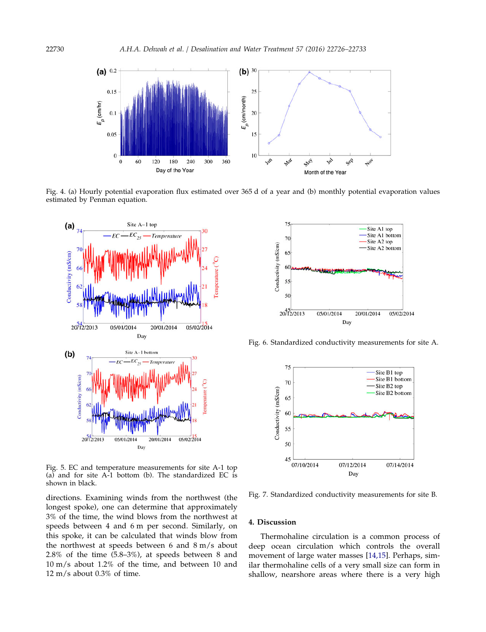<span id="page-4-0"></span>

Fig. 4. (a) Hourly potential evaporation flux estimated over 365 d of a year and (b) monthly potential evaporation values estimated by Penman equation.



Fig. 5. EC and temperature measurements for site A-1 top (a) and for site A-1 bottom (b). The standardized EC is shown in black.

directions. Examining winds from the northwest (the longest spoke), one can determine that approximately 3% of the time, the wind blows from the northwest at speeds between 4 and 6 m per second. Similarly, on this spoke, it can be calculated that winds blow from the northwest at speeds between 6 and 8 m/s about 2.8% of the time (5.8–3%), at speeds between 8 and 10 m/s about 1.2% of the time, and between 10 and 12 m/s about 0.3% of time.



Fig. 6. Standardized conductivity measurements for site A.



Fig. 7. Standardized conductivity measurements for site B.

### 4. Discussion

Thermohaline circulation is a common process of deep ocean circulation which controls the overall movement of large water masses [\[14,15\]](#page-7-0). Perhaps, similar thermohaline cells of a very small size can form in shallow, nearshore areas where there is a very high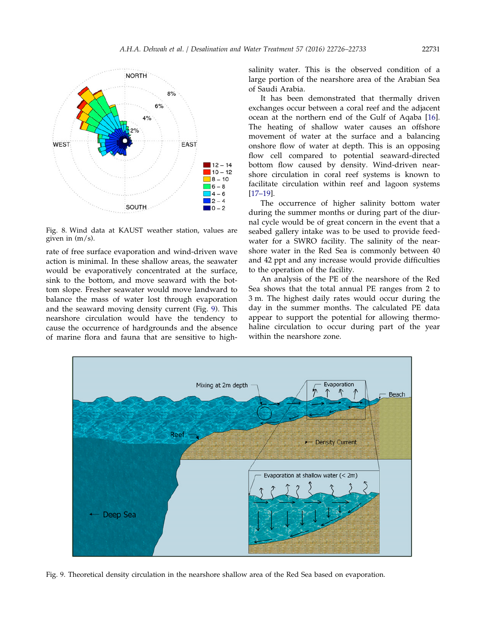<span id="page-5-0"></span>

Fig. 8. Wind data at KAUST weather station, values are given in (m/s).

rate of free surface evaporation and wind-driven wave action is minimal. In these shallow areas, the seawater would be evaporatively concentrated at the surface, sink to the bottom, and move seaward with the bottom slope. Fresher seawater would move landward to balance the mass of water lost through evaporation and the seaward moving density current (Fig. 9). This nearshore circulation would have the tendency to cause the occurrence of hardgrounds and the absence of marine flora and fauna that are sensitive to highsalinity water. This is the observed condition of a large portion of the nearshore area of the Arabian Sea of Saudi Arabia.

It has been demonstrated that thermally driven exchanges occur between a coral reef and the adjacent ocean at the northern end of the Gulf of Aqaba [[16](#page-7-0)]. The heating of shallow water causes an offshore movement of water at the surface and a balancing onshore flow of water at depth. This is an opposing flow cell compared to potential seaward-directed bottom flow caused by density. Wind-driven nearshore circulation in coral reef systems is known to facilitate circulation within reef and lagoon systems [\[17–19](#page-7-0)].

The occurrence of higher salinity bottom water during the summer months or during part of the diurnal cycle would be of great concern in the event that a seabed gallery intake was to be used to provide feedwater for a SWRO facility. The salinity of the nearshore water in the Red Sea is commonly between 40 and 42 ppt and any increase would provide difficulties to the operation of the facility.

An analysis of the PE of the nearshore of the Red Sea shows that the total annual PE ranges from 2 to 3 m. The highest daily rates would occur during the day in the summer months. The calculated PE data appear to support the potential for allowing thermohaline circulation to occur during part of the year within the nearshore zone.



Fig. 9. Theoretical density circulation in the nearshore shallow area of the Red Sea based on evaporation.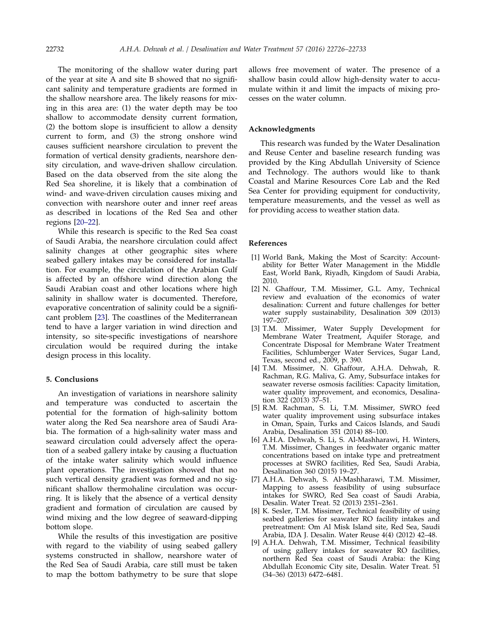<span id="page-6-0"></span>

The monitoring of the shallow water during part of the year at site A and site B showed that no significant salinity and temperature gradients are formed in the shallow nearshore area. The likely reasons for mixing in this area are: (1) the water depth may be too shallow to accommodate density current formation, (2) the bottom slope is insufficient to allow a density current to form, and (3) the strong onshore wind causes sufficient nearshore circulation to prevent the formation of vertical density gradients, nearshore density circulation, and wave-driven shallow circulation. Based on the data observed from the site along the Red Sea shoreline, it is likely that a combination of wind- and wave-driven circulation causes mixing and convection with nearshore outer and inner reef areas as described in locations of the Red Sea and other regions [[20–22](#page-7-0)].

While this research is specific to the Red Sea coast of Saudi Arabia, the nearshore circulation could affect salinity changes at other geographic sites where seabed gallery intakes may be considered for installation. For example, the circulation of the Arabian Gulf is affected by an offshore wind direction along the Saudi Arabian coast and other locations where high salinity in shallow water is documented. Therefore, evaporative concentration of salinity could be a significant problem [[23\]](#page-7-0). The coastlines of the Mediterranean tend to have a larger variation in wind direction and intensity, so site-specific investigations of nearshore circulation would be required during the intake design process in this locality.

## 5. Conclusions

An investigation of variations in nearshore salinity and temperature was conducted to ascertain the potential for the formation of high-salinity bottom water along the Red Sea nearshore area of Saudi Arabia. The formation of a high-salinity water mass and seaward circulation could adversely affect the operation of a seabed gallery intake by causing a fluctuation of the intake water salinity which would influence plant operations. The investigation showed that no such vertical density gradient was formed and no significant shallow thermohaline circulation was occurring. It is likely that the absence of a vertical density gradient and formation of circulation are caused by wind mixing and the low degree of seaward-dipping bottom slope.

While the results of this investigation are positive with regard to the viability of using seabed gallery systems constructed in shallow, nearshore water of the Red Sea of Saudi Arabia, care still must be taken to map the bottom bathymetry to be sure that slope allows free movement of water. The presence of a shallow basin could allow high-density water to accumulate within it and limit the impacts of mixing processes on the water column.

## Acknowledgments

This research was funded by the Water Desalination and Reuse Center and baseline research funding was provided by the King Abdullah University of Science and Technology. The authors would like to thank Coastal and Marine Resources Core Lab and the Red Sea Center for providing equipment for conductivity, temperature measurements, and the vessel as well as for providing access to weather station data.

#### References

- [1] World Bank, Making the Most of Scarcity: Accountability for Better Water Management in the Middle East, World Bank, Riyadh, Kingdom of Saudi Arabia, 2010.
- [2] N. Ghaffour, T.M. Missimer, G.L. Amy, Technical review and evaluation of the economics of water desalination: Current and future challenges for better water supply sustainability, Desalination 309 (2013) 197–207.
- [3] T.M. Missimer, Water Supply Development for Membrane Water Treatment, Aquifer Storage, and Concentrate Disposal for Membrane Water Treatment Facilities, Schlumberger Water Services, Sugar Land, Texas, second ed., 2009, p. 390.
- [4] T.M. Missimer, N. Ghaffour, A.H.A. Dehwah, R. Rachman, R.G. Maliva, G. Amy, Subsurface intakes for seawater reverse osmosis facilities: Capacity limitation, water quality improvement, and economics, Desalination 322 (2013) 37–51.
- [5] R.M. Rachman, S. Li, T.M. Missimer, SWRO feed water quality improvement using subsurface intakes in Oman, Spain, Turks and Caicos Islands, and Saudi Arabia, Desalination 351 (2014) 88–100.
- [6] A.H.A. Dehwah, S. Li, S. Al-Mashharawi, H. Winters, T.M. Missimer, Changes in feedwater organic matter concentrations based on intake type and pretreatment processes at SWRO facilities, Red Sea, Saudi Arabia, Desalination 360 (2015) 19–27.
- [7] A.H.A. Dehwah, S. Al-Mashharawi, T.M. Missimer, Mapping to assess feasibility of using subsurface intakes for SWRO, Red Sea coast of Saudi Arabia, Desalin. Water Treat. 52 (2013) 2351–2361.
- [8] K. Sesler, T.M. Missimer, Technical feasibility of using seabed galleries for seawater RO facility intakes and pretreatment: Om Al Misk Island site, Red Sea, Saudi Arabia, IDA J. Desalin. Water Reuse 4(4) (2012) 42–48.
- [9] A.H.A. Dehwah, T.M. Missimer, Technical feasibility of using gallery intakes for seawater RO facilities, northern Red Sea coast of Saudi Arabia: the King Abdullah Economic City site, Desalin. Water Treat. 51 (34–36) (2013) 6472–6481.